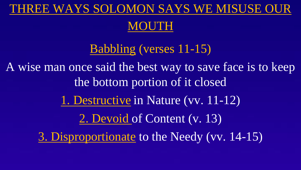#### THREE WAYS SOLOMON SAYS WE MISUSE OUR

#### MOUTH

Babbling (verses 11-15) A wise man once said the best way to save face is to keep the bottom portion of it closed 1. Destructive in Nature (vv. 11-12) 2. Devoid of Content (v. 13) 3. Disproportionate to the Needy (vv. 14-15)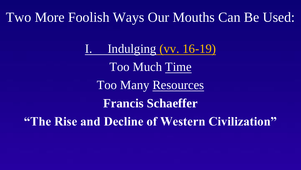I. Indulging (vv. 16-19) Too Much Time Too Many Resources **Francis Schaeffer "The Rise and Decline of Western Civilization"**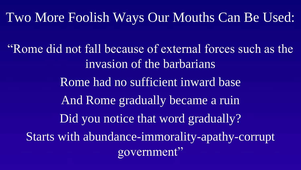"Rome did not fall because of external forces such as the invasion of the barbarians Rome had no sufficient inward base And Rome gradually became a ruin Did you notice that word gradually? Starts with abundance-immorality-apathy-corrupt government"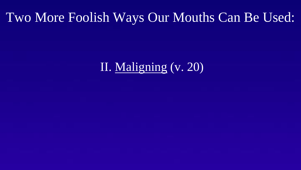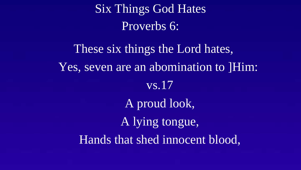Six Things God Hates Proverbs 6:

These six things the Lord hates, Yes, seven are an abomination to ]Him: vs.17 A proud look, A lying tongue, Hands that shed innocent blood,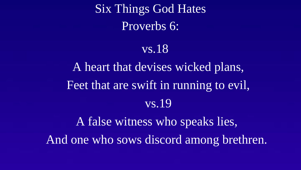Six Things God Hates Proverbs 6:

#### vs.18

A heart that devises wicked plans, Feet that are swift in running to evil, vs.19

A false witness who speaks lies, And one who sows discord among brethren.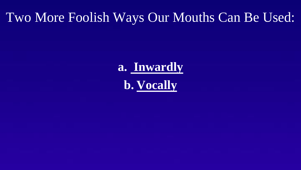# **a. Inwardly b. Vocally**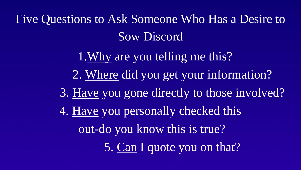Five Questions to Ask Someone Who Has a Desire to Sow Discord

> 1.Why are you telling me this? 2. Where did you get your information? 3. Have you gone directly to those involved? 4. Have you personally checked this out-do you know this is true? 5. Can I quote you on that?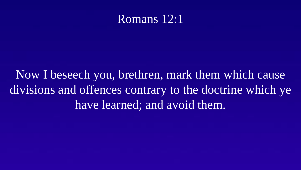#### Romans 12:1

Now I beseech you, brethren, mark them which cause divisions and offences contrary to the doctrine which ye have learned; and avoid them.